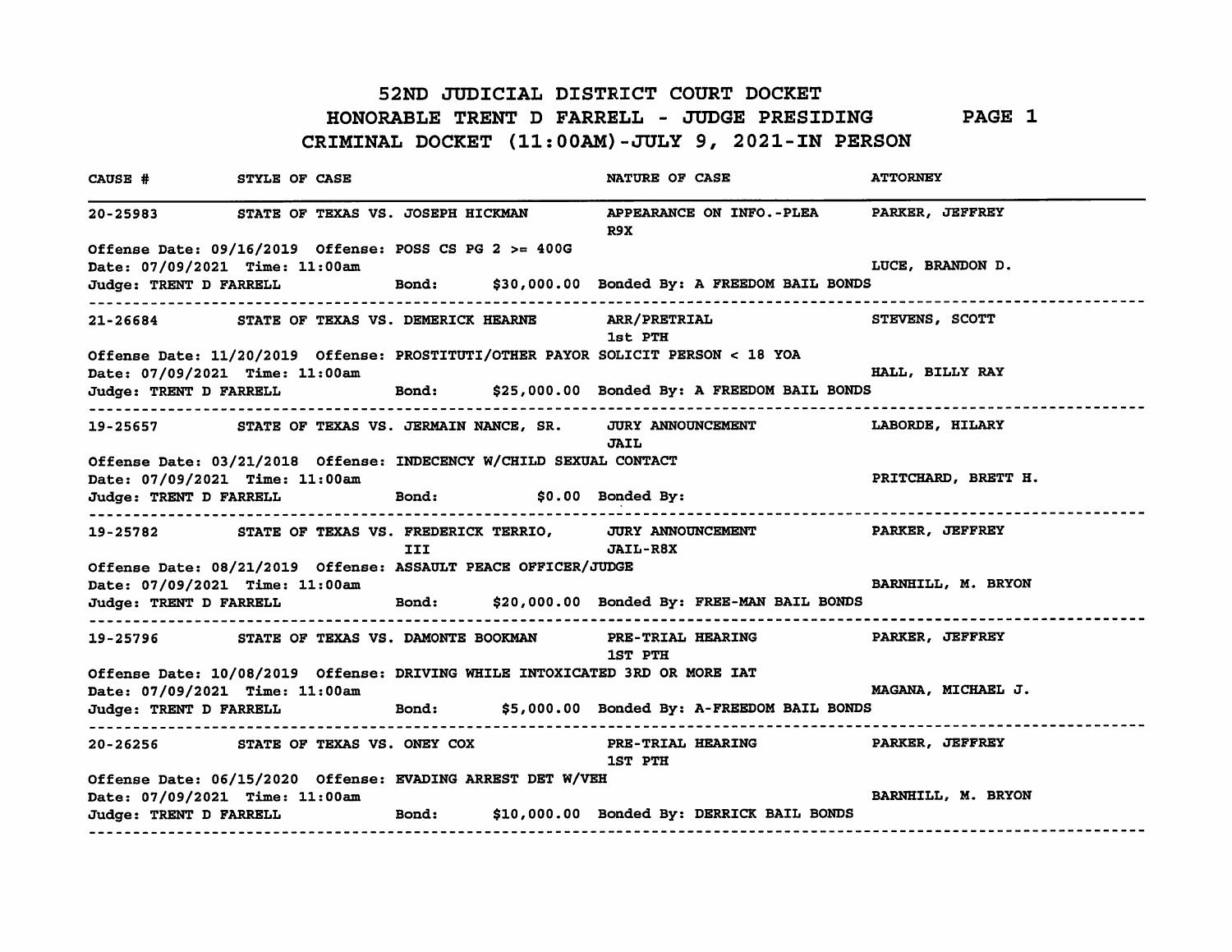#### 52ND JUDICIAL DISTRICT COURT DOCKET

# HONORABLE TRENT D FARRELL - JUDGE PRESIDING PAGE 1

CRIMINAL DOCKET (11:00AM)-JULY 9, 2021-IN PERSON

CAUSE # STYLE OF CASE NATURE OF CASE NATURE OF CASE ATTORNEY 20-25983 STATE OF TEXAS VS. JOSEPH HICKMAN APPEARANCE ON INFO.-PLEA PARKER, JEFFREYR9XOffense Date: 09/16/2019 Offense: POSS CS PG 2 >= 400GDate: 07/09/2021 Time: 11:00am LUCE, BRANDON D.Judge: TRENT D FARRELL Bond: \$30,000.00 Bonded By: A FREEDOM BAIL BONDS 21-26684 STATE OF TEXAS VS. DEMERICK HEARNE ARR/PRETRIAL STEVENS, SCOTT1st PTHOffense Date: 11/20/2019 Offense: PROSTITUTI/OTHER PAYOR SOLICIT PERSON < 18 YOA Date: 07/09/2021 Time: 11:00am HALL, BILLY RAYJudge: TRENT D FARRELL Bond: \$25,000.00 Bonded By: A FREEDOM BAIL BONDS19-25657 STATE OF TEXAS VS. JERMAIN NANCE, SR. JURY ANNOUNCEMENT LABORDE, HILARYJAIL Offense Date: 03/21/2018 Offense: INDECENCY W/CHILD SEXUAL CONTACTDate: 07/09/2021 Time: 11:00am PRITCHARD, BRETT H.Judge: TRENT D FARRELL Bond: \$0.00 Bonded By: 19-25782 STATE OF TEXAS VS. FREDERICK TERRIO, JURY ANNOUNCEMENT PARKER, JEFFREYIII JAIL-R8XOffense Date: 08/21/2019 Offense: ASSAULT PEACE OFFICER/JUDGEDate: 07/09/2021 Time: 11:00am BARNHILL, M. BRYON Judge: TRENT D FARRELL Bond: \$20,000.00 Bonded By: FREE-MAN BAIL BONDS 19-25796 STATE OF TEXAS VS. DAMONTE BOOKMAN PRE-TRIAL HEARING PARKER, JEFFREY1ST PTH Offense Date: 10/08/2019 Offense: DRIVING WHILE INTOXICATED 3RD OR MORE lATDate: 07/09/2021 Time: 11:00am MAGANA, MICHAEL J. Judge: TRENT D FARRELL Bond: \$5,000.00 Bonded By: A-FREEDOM BAIL BONDS 20-26256 STATE OF TEXAS VS. ONEY COX PRE-TRIAL HEARING PARKER, JEFFREY1ST PTHOffense Date: 06/15/2020 Offense: EVADING ARREST DET W/VEHDate: 07/09/2021 Time: 11:00am BARNHILL, M. BRYON Judge: TRENT D FARRELL Bond: \$10,000.00 Bonded By: DERRICK BAIL BONDS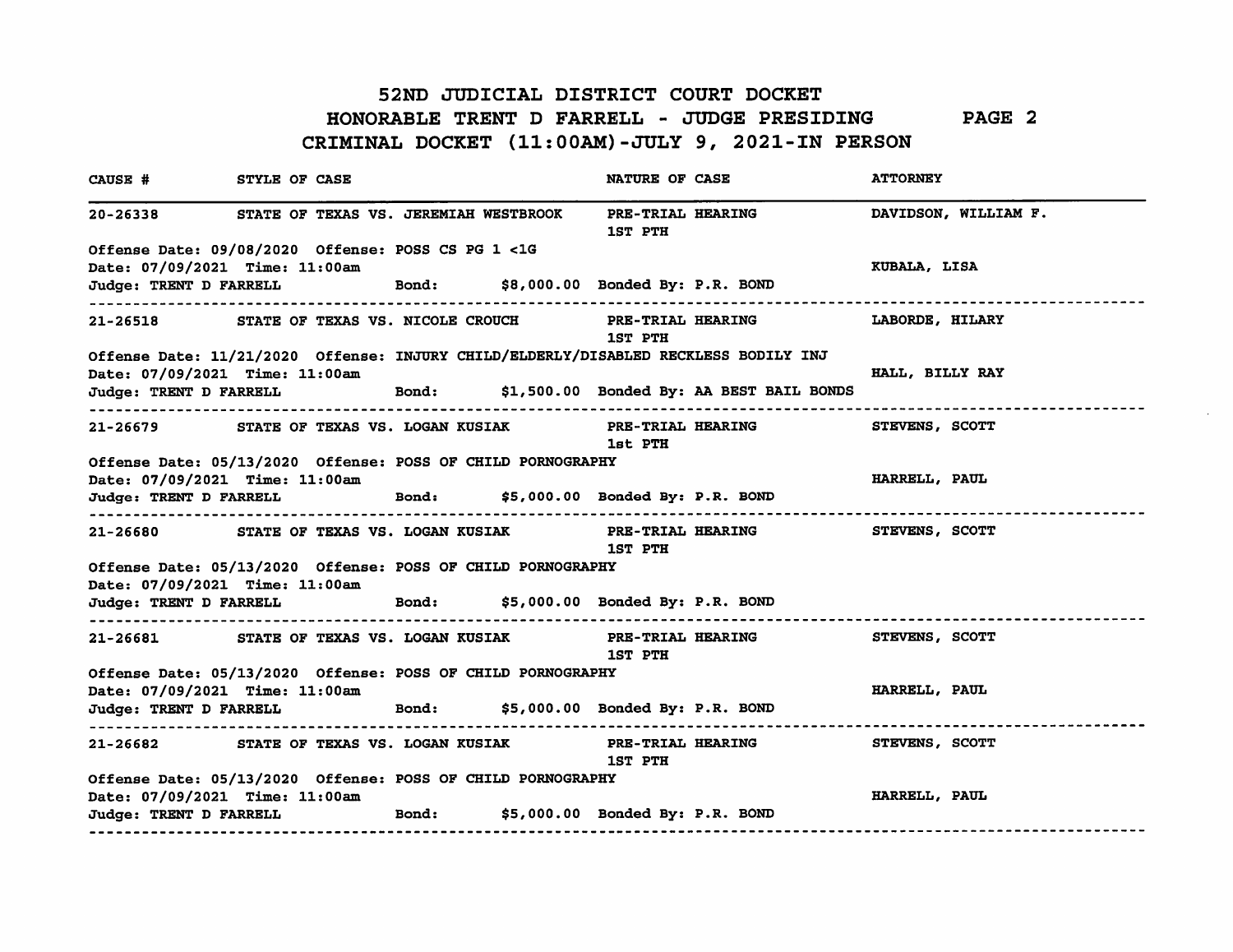### 52ND JUDICIAL DISTRICT COURT DOCKET

### HONORABLE TRENT D FARRELL - JUDGE PRESIDINGPAGE 2CRIMINAL DOCKET (11:00AM)-JULY 9, 2021-IN PERSON

| CAUSE # STYLE OF CASE            |                                                                                                                       |  | <b>NATURE OF CASE</b>               |                                                                             | <b>ATTORNEY</b>      |                      |
|----------------------------------|-----------------------------------------------------------------------------------------------------------------------|--|-------------------------------------|-----------------------------------------------------------------------------|----------------------|----------------------|
|                                  | 20-26338 STATE OF TEXAS VS. JEREMIAH WESTBROOK                                                                        |  | PRE-TRIAL HEARING<br><b>1ST PTH</b> |                                                                             |                      | DAVIDSON, WILLIAM F. |
|                                  | Offense Date: 09/08/2020 Offense: POSS CS PG 1 <1G                                                                    |  |                                     |                                                                             |                      |                      |
| Date: 07/09/2021 Time: 11:00am   |                                                                                                                       |  |                                     |                                                                             | KUBALA, LISA         |                      |
|                                  | Judge: TRENT D FARRELL Bond: \$8,000.00 Bonded By: P.R. BOND<br>----------------------------------                    |  |                                     |                                                                             |                      |                      |
|                                  |                                                                                                                       |  | <b>1ST PTH</b>                      | 21-26518 STATE OF TEXAS VS. NICOLE CROUCH PRE-TRIAL HEARING LABORDE, HILARY |                      |                      |
|                                  | Offense Date: 11/21/2020 Offense: INJURY CHILD/ELDERLY/DISABLED RECKLESS BODILY INJ<br>Date: 07/09/2021 Time: 11:00am |  |                                     |                                                                             | HALL, BILLY RAY      |                      |
|                                  |                                                                                                                       |  |                                     | Judge: TRENT D FARRELL Bond: \$1,500.00 Bonded By: AA BEST BAIL BONDS       |                      |                      |
|                                  | -----------------------------------                                                                                   |  | 1st PTH                             | 21-26679 STATE OF TEXAS VS. LOGAN KUSIAK PRE-TRIAL HEARING STEVENS, SCOTT   |                      |                      |
|                                  | Offense Date: 05/13/2020 Offense: POSS OF CHILD PORNOGRAPHY                                                           |  |                                     |                                                                             |                      |                      |
|                                  | Date: 07/09/2021 Time: 11:00am<br>Judge: TRENT D FARRELL Bond: \$5,000.00 Bonded By: P.R. BOND                        |  |                                     |                                                                             | <b>HARRELL, PAUL</b> |                      |
|                                  |                                                                                                                       |  | <b>1ST PTH</b>                      | 21-26680 STATE OF TEXAS VS. LOGAN KUSIAK PRE-TRIAL HEARING STEVENS, SCOTT   |                      |                      |
|                                  | Offense Date: 05/13/2020 Offense: POSS OF CHILD PORNOGRAPHY<br>Date: 07/09/2021 Time: 11:00am                         |  |                                     |                                                                             |                      |                      |
|                                  | Judge: TRENT D FARRELL Bond: \$5,000.00 Bonded By: P.R. BOND                                                          |  |                                     |                                                                             |                      |                      |
| -------------------------------- |                                                                                                                       |  | 1ST PTH                             | 21-26681 STATE OF TEXAS VS. LOGAN KUSIAK PRE-TRIAL HEARING STEVENS, SCOTT   |                      |                      |
|                                  | Offense Date: 05/13/2020 Offense: POSS OF CHILD PORNOGRAPHY<br>Date: 07/09/2021 Time: 11:00am                         |  |                                     |                                                                             | HARRELL, PAUL        |                      |
|                                  | Judge: TRENT D FARRELL Bond: \$5,000.00 Bonded By: P.R. BOND                                                          |  |                                     |                                                                             |                      |                      |
| ------------------               |                                                                                                                       |  | 1ST PTH                             | 21-26682 STATE OF TEXAS VS. LOGAN KUSIAK PRE-TRIAL HEARING STEVENS, SCOTT   |                      |                      |
|                                  | Offense Date: 05/13/2020 Offense: POSS OF CHILD PORNOGRAPHY                                                           |  |                                     |                                                                             |                      |                      |
| Date: 07/09/2021 Time: 11:00am   | Judge: TRENT D FARRELL Bond: \$5,000.00 Bonded By: P.R. BOND                                                          |  |                                     |                                                                             | HARRELL, PAUL        |                      |
|                                  |                                                                                                                       |  |                                     |                                                                             |                      |                      |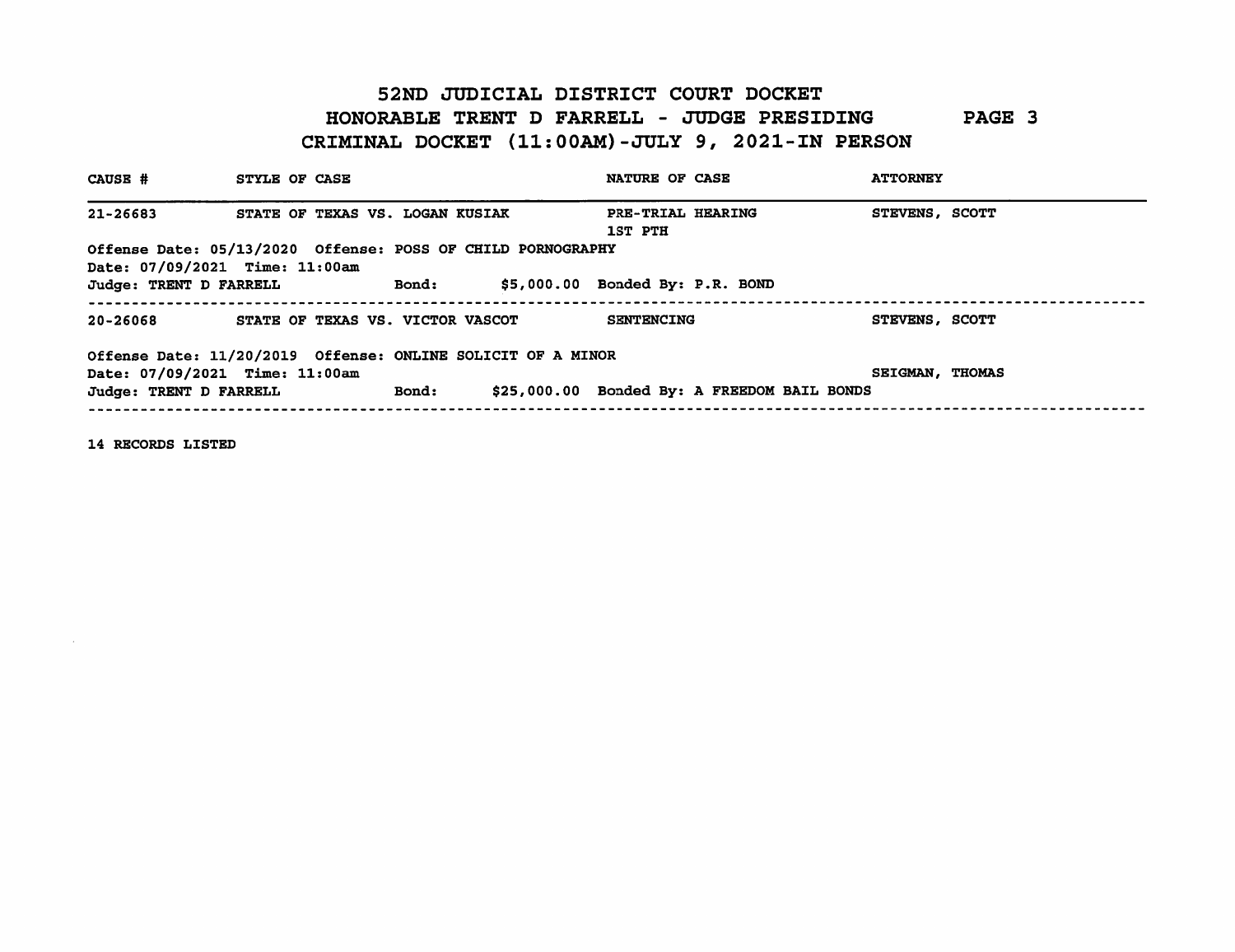## 52ND JUDICIAL DISTRICT COURT DOCKET HONORABLE TRENT D FARRELL - JUDGE PRESIDINGPAGE 3CRIMINAL DOCKET (11:00AM)-JULY 9, 2021-IN PERSON

| CAUSE #                        | STYLE OF CASE                                               |              | <b>NATURE OF CASE</b>               |                                             | <b>ATTORNEY</b>        |  |
|--------------------------------|-------------------------------------------------------------|--------------|-------------------------------------|---------------------------------------------|------------------------|--|
| 21-26683                       | STATE OF TEXAS VS. LOGAN KUSIAK                             |              | PRE-TRIAL HEARING<br><b>1ST PTH</b> |                                             | STEVENS, SCOTT         |  |
| Date: 07/09/2021 Time: 11:00am | Offense Date: 05/13/2020 Offense: POSS OF CHILD PORNOGRAPHY |              |                                     |                                             |                        |  |
| Judge: TRENT D FARRELL         |                                                             | <b>Bond:</b> | $$5,000.00$ Bonded By: $P.R.$ BOND  |                                             |                        |  |
| 20-26068                       | STATE OF TEXAS VS. VICTOR VASCOT                            |              | <b>SENTENCING</b>                   |                                             | STEVENS, SCOTT         |  |
| Date: 07/09/2021 Time: 11:00am | Offense Date: 11/20/2019 Offense: ONLINE SOLICIT OF A MINOR |              |                                     |                                             | <b>SEIGMAN, THOMAS</b> |  |
| Judge: TRENT D FARRELL         |                                                             | <b>Bond:</b> |                                     | \$25,000.00 Bonded By: A FREEDOM BAIL BONDS |                        |  |

14 RECORDS LISTED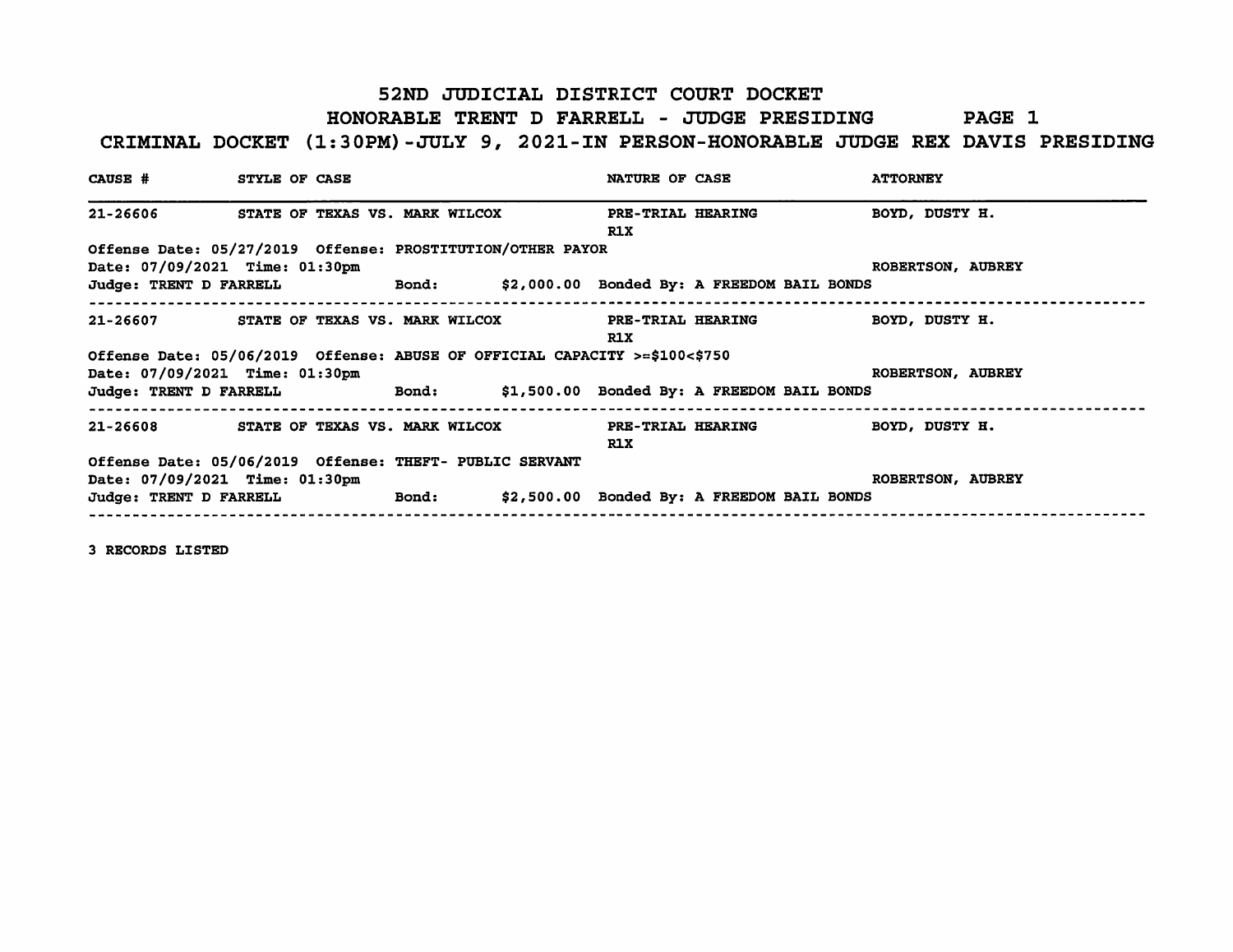### 52ND JUDICIAL DISTRICT COURT DOCKET

#### HONORABLE TRENT D FARRELL - JUDGE PRESIDING PAGE 1

### CRIMINAL DOCKET (1:30PM)-JULY 9, 2021-IN PERSON-HONORABLE JUDGE REX DAVIS PRESIDING

| CAUSE # STYLE OF CASE          |                                                                            | <b>NATURE OF CASE</b>                                                                  | <b>ATTORNEY</b>   |
|--------------------------------|----------------------------------------------------------------------------|----------------------------------------------------------------------------------------|-------------------|
|                                |                                                                            | 21-26606 STATE OF TEXAS VS. MARK WILCOX PRE-TRIAL HEARING<br>R1X                       | BOYD, DUSTY H.    |
| Date: 07/09/2021 Time: 01:30pm | Offense Date: 05/27/2019 Offense: PROSTITUTION/OTHER PAYOR                 | Judge: TRENT D FARRELL <b>https:</b> Bond: \$2,000.00 Bonded By: A FREEDOM BAIL BONDS  | ROBERTSON, AUBREY |
|                                |                                                                            | 21-26607 STATE OF TEXAS VS. MARK WILCOX PRE-TRIAL HEARING BOYD, DUSTY H.<br>R1X        |                   |
| Date: 07/09/2021 Time: 01:30pm | Offense Date: 05/06/2019 Offense: ABUSE OF OFFICIAL CAPACITY >=\$100<\$750 | Judge: TRENT D FARRELL <b>Bond:</b> \$1,500.00 Bonded By: A FREEDOM BAIL BONDS         | ROBERTSON, AUBREY |
|                                |                                                                            | 21-26608 STATE OF TEXAS VS. MARK WILCOX PRE-TRIAL HEARING BOYD, DUSTY H.<br><b>R1X</b> |                   |
| Date: 07/09/2021 Time: 01:30pm | Offense Date: 05/06/2019 Offense: THEFT- PUBLIC SERVANT                    | Judge: TRENT D FARRELL <b>Bond:</b> \$2,500.00 Bonded By: A FREEDOM BAIL BONDS         | ROBERTSON, AUBREY |

3 RECORDS LISTED